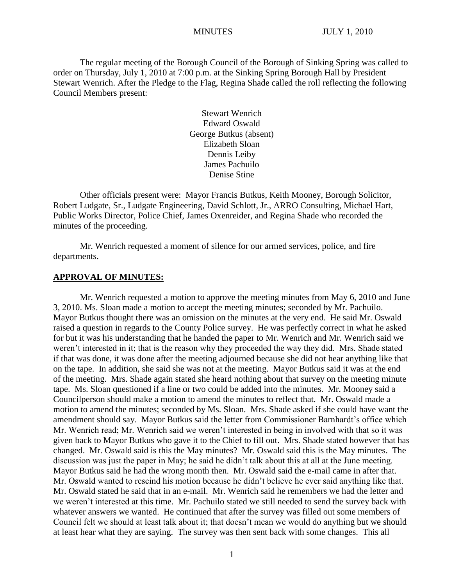The regular meeting of the Borough Council of the Borough of Sinking Spring was called to order on Thursday, July 1, 2010 at 7:00 p.m. at the Sinking Spring Borough Hall by President Stewart Wenrich. After the Pledge to the Flag, Regina Shade called the roll reflecting the following Council Members present:

> Stewart Wenrich Edward Oswald George Butkus (absent) Elizabeth Sloan Dennis Leiby James Pachuilo Denise Stine

Other officials present were: Mayor Francis Butkus, Keith Mooney, Borough Solicitor, Robert Ludgate, Sr., Ludgate Engineering, David Schlott, Jr., ARRO Consulting, Michael Hart, Public Works Director, Police Chief, James Oxenreider, and Regina Shade who recorded the minutes of the proceeding.

Mr. Wenrich requested a moment of silence for our armed services, police, and fire departments.

### **APPROVAL OF MINUTES:**

Mr. Wenrich requested a motion to approve the meeting minutes from May 6, 2010 and June 3, 2010. Ms. Sloan made a motion to accept the meeting minutes; seconded by Mr. Pachuilo. Mayor Butkus thought there was an omission on the minutes at the very end. He said Mr. Oswald raised a question in regards to the County Police survey. He was perfectly correct in what he asked for but it was his understanding that he handed the paper to Mr. Wenrich and Mr. Wenrich said we weren't interested in it; that is the reason why they proceeded the way they did. Mrs. Shade stated if that was done, it was done after the meeting adjourned because she did not hear anything like that on the tape. In addition, she said she was not at the meeting. Mayor Butkus said it was at the end of the meeting. Mrs. Shade again stated she heard nothing about that survey on the meeting minute tape. Ms. Sloan questioned if a line or two could be added into the minutes. Mr. Mooney said a Councilperson should make a motion to amend the minutes to reflect that. Mr. Oswald made a motion to amend the minutes; seconded by Ms. Sloan. Mrs. Shade asked if she could have want the amendment should say. Mayor Butkus said the letter from Commissioner Barnhardt's office which Mr. Wenrich read; Mr. Wenrich said we weren't interested in being in involved with that so it was given back to Mayor Butkus who gave it to the Chief to fill out. Mrs. Shade stated however that has changed. Mr. Oswald said is this the May minutes? Mr. Oswald said this is the May minutes. The discussion was just the paper in May; he said he didn't talk about this at all at the June meeting. Mayor Butkus said he had the wrong month then. Mr. Oswald said the e-mail came in after that. Mr. Oswald wanted to rescind his motion because he didn't believe he ever said anything like that. Mr. Oswald stated he said that in an e-mail. Mr. Wenrich said he remembers we had the letter and we weren't interested at this time. Mr. Pachuilo stated we still needed to send the survey back with whatever answers we wanted. He continued that after the survey was filled out some members of Council felt we should at least talk about it; that doesn't mean we would do anything but we should at least hear what they are saying. The survey was then sent back with some changes. This all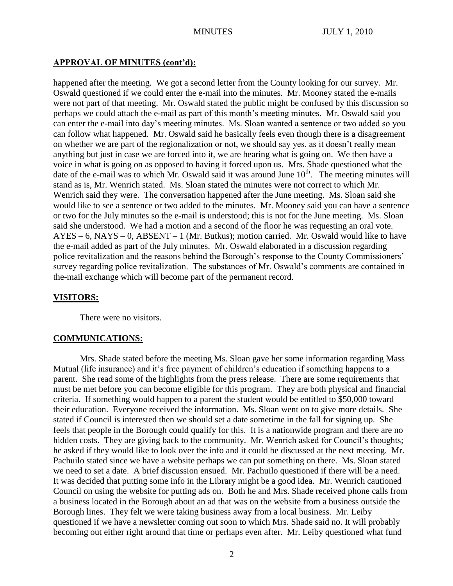## **APPROVAL OF MINUTES (cont'd):**

happened after the meeting. We got a second letter from the County looking for our survey. Mr. Oswald questioned if we could enter the e-mail into the minutes. Mr. Mooney stated the e-mails were not part of that meeting. Mr. Oswald stated the public might be confused by this discussion so perhaps we could attach the e-mail as part of this month's meeting minutes. Mr. Oswald said you can enter the e-mail into day's meeting minutes. Ms. Sloan wanted a sentence or two added so you can follow what happened. Mr. Oswald said he basically feels even though there is a disagreement on whether we are part of the regionalization or not, we should say yes, as it doesn't really mean anything but just in case we are forced into it, we are hearing what is going on. We then have a voice in what is going on as opposed to having it forced upon us. Mrs. Shade questioned what the date of the e-mail was to which Mr. Oswald said it was around June  $10<sup>th</sup>$ . The meeting minutes will stand as is, Mr. Wenrich stated. Ms. Sloan stated the minutes were not correct to which Mr. Wenrich said they were. The conversation happened after the June meeting. Ms. Sloan said she would like to see a sentence or two added to the minutes. Mr. Mooney said you can have a sentence or two for the July minutes so the e-mail is understood; this is not for the June meeting. Ms. Sloan said she understood. We had a motion and a second of the floor he was requesting an oral vote.  $AYES - 6$ ,  $NAYS - 0$ ,  $ABSENT - 1$  (Mr. Butkus); motion carried. Mr. Oswald would like to have the e-mail added as part of the July minutes. Mr. Oswald elaborated in a discussion regarding police revitalization and the reasons behind the Borough's response to the County Commissioners' survey regarding police revitalization. The substances of Mr. Oswald's comments are contained in the-mail exchange which will become part of the permanent record.

### **VISITORS:**

There were no visitors.

### **COMMUNICATIONS:**

Mrs. Shade stated before the meeting Ms. Sloan gave her some information regarding Mass Mutual (life insurance) and it's free payment of children's education if something happens to a parent. She read some of the highlights from the press release. There are some requirements that must be met before you can become eligible for this program. They are both physical and financial criteria. If something would happen to a parent the student would be entitled to \$50,000 toward their education. Everyone received the information. Ms. Sloan went on to give more details. She stated if Council is interested then we should set a date sometime in the fall for signing up. She feels that people in the Borough could qualify for this. It is a nationwide program and there are no hidden costs. They are giving back to the community. Mr. Wenrich asked for Council's thoughts; he asked if they would like to look over the info and it could be discussed at the next meeting. Mr. Pachuilo stated since we have a website perhaps we can put something on there. Ms. Sloan stated we need to set a date. A brief discussion ensued. Mr. Pachuilo questioned if there will be a need. It was decided that putting some info in the Library might be a good idea. Mr. Wenrich cautioned Council on using the website for putting ads on. Both he and Mrs. Shade received phone calls from a business located in the Borough about an ad that was on the website from a business outside the Borough lines. They felt we were taking business away from a local business. Mr. Leiby questioned if we have a newsletter coming out soon to which Mrs. Shade said no. It will probably becoming out either right around that time or perhaps even after. Mr. Leiby questioned what fund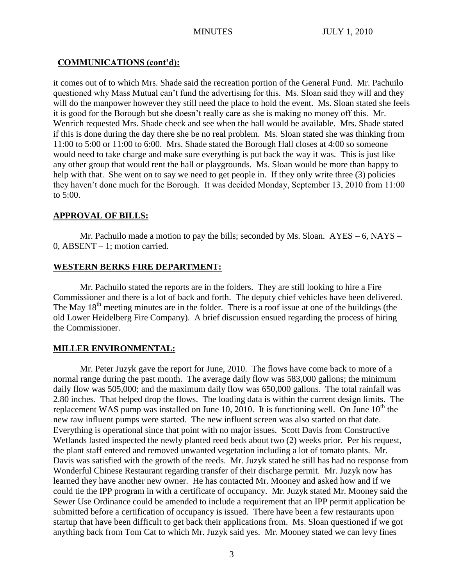# **COMMUNICATIONS (cont'd):**

it comes out of to which Mrs. Shade said the recreation portion of the General Fund. Mr. Pachuilo questioned why Mass Mutual can't fund the advertising for this. Ms. Sloan said they will and they will do the manpower however they still need the place to hold the event. Ms. Sloan stated she feels it is good for the Borough but she doesn't really care as she is making no money off this. Mr. Wenrich requested Mrs. Shade check and see when the hall would be available. Mrs. Shade stated if this is done during the day there she be no real problem. Ms. Sloan stated she was thinking from 11:00 to 5:00 or 11:00 to 6:00. Mrs. Shade stated the Borough Hall closes at 4:00 so someone would need to take charge and make sure everything is put back the way it was. This is just like any other group that would rent the hall or playgrounds. Ms. Sloan would be more than happy to help with that. She went on to say we need to get people in. If they only write three (3) policies they haven't done much for the Borough. It was decided Monday, September 13, 2010 from 11:00 to 5:00.

# **APPROVAL OF BILLS:**

Mr. Pachuilo made a motion to pay the bills; seconded by Ms. Sloan. AYES – 6, NAYS – 0, ABSENT – 1; motion carried.

# **WESTERN BERKS FIRE DEPARTMENT:**

Mr. Pachuilo stated the reports are in the folders. They are still looking to hire a Fire Commissioner and there is a lot of back and forth. The deputy chief vehicles have been delivered. The May  $18<sup>th</sup>$  meeting minutes are in the folder. There is a roof issue at one of the buildings (the old Lower Heidelberg Fire Company). A brief discussion ensued regarding the process of hiring the Commissioner.

# **MILLER ENVIRONMENTAL:**

Mr. Peter Juzyk gave the report for June, 2010. The flows have come back to more of a normal range during the past month. The average daily flow was 583,000 gallons; the minimum daily flow was 505,000; and the maximum daily flow was 650,000 gallons. The total rainfall was 2.80 inches. That helped drop the flows. The loading data is within the current design limits. The replacement WAS pump was installed on June 10, 2010. It is functioning well. On June  $10<sup>th</sup>$  the new raw influent pumps were started. The new influent screen was also started on that date. Everything is operational since that point with no major issues. Scott Davis from Constructive Wetlands lasted inspected the newly planted reed beds about two (2) weeks prior. Per his request, the plant staff entered and removed unwanted vegetation including a lot of tomato plants. Mr. Davis was satisfied with the growth of the reeds. Mr. Juzyk stated he still has had no response from Wonderful Chinese Restaurant regarding transfer of their discharge permit. Mr. Juzyk now has learned they have another new owner. He has contacted Mr. Mooney and asked how and if we could tie the IPP program in with a certificate of occupancy. Mr. Juzyk stated Mr. Mooney said the Sewer Use Ordinance could be amended to include a requirement that an IPP permit application be submitted before a certification of occupancy is issued. There have been a few restaurants upon startup that have been difficult to get back their applications from. Ms. Sloan questioned if we got anything back from Tom Cat to which Mr. Juzyk said yes. Mr. Mooney stated we can levy fines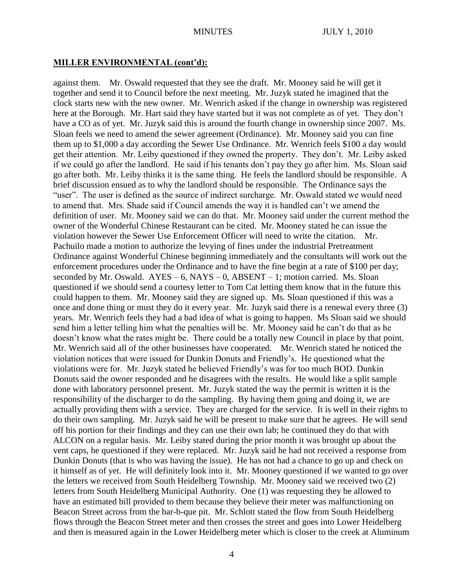# **MILLER ENVIRONMENTAL (cont'd):**

against them. Mr. Oswald requested that they see the draft. Mr. Mooney said he will get it together and send it to Council before the next meeting. Mr. Juzyk stated he imagined that the clock starts new with the new owner. Mr. Wenrich asked if the change in ownership was registered here at the Borough. Mr. Hart said they have started but it was not complete as of yet. They don't have a CO as of yet. Mr. Juzyk said this is around the fourth change in ownership since 2007. Ms. Sloan feels we need to amend the sewer agreement (Ordinance). Mr. Mooney said you can fine them up to \$1,000 a day according the Sewer Use Ordinance. Mr. Wenrich feels \$100 a day would get their attention. Mr. Leiby questioned if they owned the property. They don't. Mr. Leiby asked if we could go after the landlord. He said if his tenants don't pay they go after him. Ms. Sloan said go after both. Mr. Leiby thinks it is the same thing. He feels the landlord should be responsible. A brief discussion ensued as to why the landlord should be responsible. The Ordinance says the "user". The user is defined as the source of indirect surcharge. Mr. Oswald stated we would need to amend that. Mrs. Shade said if Council amends the way it is handled can't we amend the definition of user. Mr. Mooney said we can do that. Mr. Mooney said under the current method the owner of the Wonderful Chinese Restaurant can be cited. Mr. Mooney stated he can issue the violation however the Sewer Use Enforcement Officer will need to write the citation. Mr. Pachuilo made a motion to authorize the levying of fines under the industrial Pretreatment Ordinance against Wonderful Chinese beginning immediately and the consultants will work out the enforcement procedures under the Ordinance and to have the fine begin at a rate of \$100 per day; seconded by Mr. Oswald.  $AYES - 6$ ,  $NAYS - 0$ ,  $ABSENT - 1$ ; motion carried. Ms. Sloan questioned if we should send a courtesy letter to Tom Cat letting them know that in the future this could happen to them. Mr. Mooney said they are signed up. Ms. Sloan questioned if this was a once and done thing or must they do it every year. Mr. Juzyk said there is a renewal every three (3) years. Mr. Wenrich feels they had a bad idea of what is going to happen. Ms Sloan said we should send him a letter telling him what the penalties will be. Mr. Mooney said he can't do that as he doesn't know what the rates might be. There could be a totally new Council in place by that point. Mr. Wenrich said all of the other businesses have cooperated. Mr. Wenrich stated he noticed the violation notices that were issued for Dunkin Donuts and Friendly's. He questioned what the violations were for. Mr. Juzyk stated he believed Friendly's was for too much BOD. Dunkin Donuts said the owner responded and he disagrees with the results. He would like a split sample done with laboratory personnel present. Mr. Juzyk stated the way the permit is written it is the responsibility of the discharger to do the sampling. By having them going and doing it, we are actually providing them with a service. They are charged for the service. It is well in their rights to do their own sampling. Mr. Juzyk said he will be present to make sure that he agrees. He will send off his portion for their findings and they can use their own lab; he continued they do that with ALCON on a regular basis. Mr. Leiby stated during the prior month it was brought up about the vent caps, he questioned if they were replaced. Mr. Juzyk said he had not received a response from Dunkin Donuts (that is who was having the issue). He has not had a chance to go up and check on it himself as of yet. He will definitely look into it. Mr. Mooney questioned if we wanted to go over the letters we received from South Heidelberg Township. Mr. Mooney said we received two (2) letters from South Heidelberg Municipal Authority. One (1) was requesting they be allowed to have an estimated bill provided to them because they believe their meter was malfunctioning on Beacon Street across from the bar-b-que pit. Mr. Schlott stated the flow from South Heidelberg flows through the Beacon Street meter and then crosses the street and goes into Lower Heidelberg and then is measured again in the Lower Heidelberg meter which is closer to the creek at Aluminum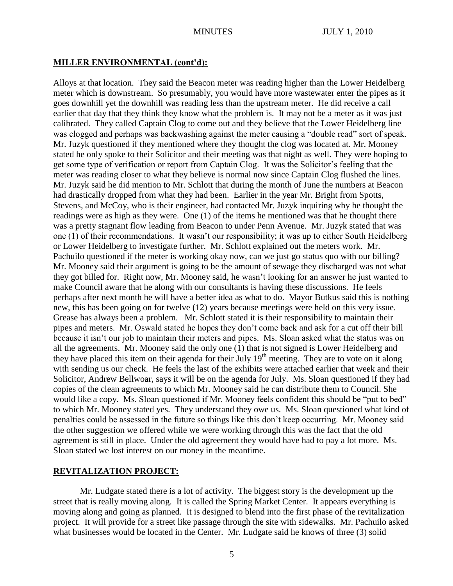## **MILLER ENVIRONMENTAL (cont'd):**

Alloys at that location. They said the Beacon meter was reading higher than the Lower Heidelberg meter which is downstream. So presumably, you would have more wastewater enter the pipes as it goes downhill yet the downhill was reading less than the upstream meter. He did receive a call earlier that day that they think they know what the problem is. It may not be a meter as it was just calibrated. They called Captain Clog to come out and they believe that the Lower Heidelberg line was clogged and perhaps was backwashing against the meter causing a "double read" sort of speak. Mr. Juzyk questioned if they mentioned where they thought the clog was located at. Mr. Mooney stated he only spoke to their Solicitor and their meeting was that night as well. They were hoping to get some type of verification or report from Captain Clog. It was the Solicitor's feeling that the meter was reading closer to what they believe is normal now since Captain Clog flushed the lines. Mr. Juzyk said he did mention to Mr. Schlott that during the month of June the numbers at Beacon had drastically dropped from what they had been. Earlier in the year Mr. Bright from Spotts, Stevens, and McCoy, who is their engineer, had contacted Mr. Juzyk inquiring why he thought the readings were as high as they were. One (1) of the items he mentioned was that he thought there was a pretty stagnant flow leading from Beacon to under Penn Avenue. Mr. Juzyk stated that was one (1) of their recommendations. It wasn't our responsibility; it was up to either South Heidelberg or Lower Heidelberg to investigate further. Mr. Schlott explained out the meters work. Mr. Pachuilo questioned if the meter is working okay now, can we just go status quo with our billing? Mr. Mooney said their argument is going to be the amount of sewage they discharged was not what they got billed for. Right now, Mr. Mooney said, he wasn't looking for an answer he just wanted to make Council aware that he along with our consultants is having these discussions. He feels perhaps after next month he will have a better idea as what to do. Mayor Butkus said this is nothing new, this has been going on for twelve (12) years because meetings were held on this very issue. Grease has always been a problem. Mr. Schlott stated it is their responsibility to maintain their pipes and meters. Mr. Oswald stated he hopes they don't come back and ask for a cut off their bill because it isn't our job to maintain their meters and pipes. Ms. Sloan asked what the status was on all the agreements. Mr. Mooney said the only one (1) that is not signed is Lower Heidelberg and they have placed this item on their agenda for their July 19<sup>th</sup> meeting. They are to vote on it along with sending us our check. He feels the last of the exhibits were attached earlier that week and their Solicitor, Andrew Bellwoar, says it will be on the agenda for July. Ms. Sloan questioned if they had copies of the clean agreements to which Mr. Mooney said he can distribute them to Council. She would like a copy. Ms. Sloan questioned if Mr. Mooney feels confident this should be "put to bed" to which Mr. Mooney stated yes. They understand they owe us. Ms. Sloan questioned what kind of penalties could be assessed in the future so things like this don't keep occurring. Mr. Mooney said the other suggestion we offered while we were working through this was the fact that the old agreement is still in place. Under the old agreement they would have had to pay a lot more. Ms. Sloan stated we lost interest on our money in the meantime.

### **REVITALIZATION PROJECT:**

Mr. Ludgate stated there is a lot of activity. The biggest story is the development up the street that is really moving along. It is called the Spring Market Center. It appears everything is moving along and going as planned. It is designed to blend into the first phase of the revitalization project. It will provide for a street like passage through the site with sidewalks. Mr. Pachuilo asked what businesses would be located in the Center. Mr. Ludgate said he knows of three (3) solid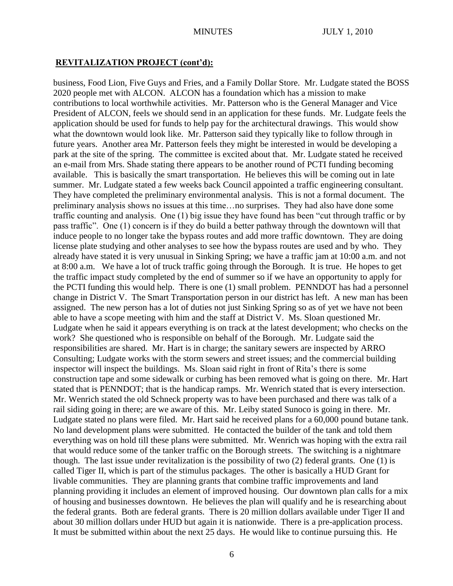# **REVITALIZATION PROJECT (cont'd):**

business, Food Lion, Five Guys and Fries, and a Family Dollar Store. Mr. Ludgate stated the BOSS 2020 people met with ALCON. ALCON has a foundation which has a mission to make contributions to local worthwhile activities. Mr. Patterson who is the General Manager and Vice President of ALCON, feels we should send in an application for these funds. Mr. Ludgate feels the application should be used for funds to help pay for the architectural drawings. This would show what the downtown would look like. Mr. Patterson said they typically like to follow through in future years. Another area Mr. Patterson feels they might be interested in would be developing a park at the site of the spring. The committee is excited about that. Mr. Ludgate stated he received an e-mail from Mrs. Shade stating there appears to be another round of PCTI funding becoming available. This is basically the smart transportation. He believes this will be coming out in late summer. Mr. Ludgate stated a few weeks back Council appointed a traffic engineering consultant. They have completed the preliminary environmental analysis. This is not a formal document. The preliminary analysis shows no issues at this time…no surprises. They had also have done some traffic counting and analysis. One (1) big issue they have found has been "cut through traffic or by pass traffic". One (1) concern is if they do build a better pathway through the downtown will that induce people to no longer take the bypass routes and add more traffic downtown. They are doing license plate studying and other analyses to see how the bypass routes are used and by who. They already have stated it is very unusual in Sinking Spring; we have a traffic jam at 10:00 a.m. and not at 8:00 a.m. We have a lot of truck traffic going through the Borough. It is true. He hopes to get the traffic impact study completed by the end of summer so if we have an opportunity to apply for the PCTI funding this would help. There is one (1) small problem. PENNDOT has had a personnel change in District V. The Smart Transportation person in our district has left. A new man has been assigned. The new person has a lot of duties not just Sinking Spring so as of yet we have not been able to have a scope meeting with him and the staff at District V. Ms. Sloan questioned Mr. Ludgate when he said it appears everything is on track at the latest development; who checks on the work? She questioned who is responsible on behalf of the Borough. Mr. Ludgate said the responsibilities are shared. Mr. Hart is in charge; the sanitary sewers are inspected by ARRO Consulting; Ludgate works with the storm sewers and street issues; and the commercial building inspector will inspect the buildings. Ms. Sloan said right in front of Rita's there is some construction tape and some sidewalk or curbing has been removed what is going on there. Mr. Hart stated that is PENNDOT; that is the handicap ramps. Mr. Wenrich stated that is every intersection. Mr. Wenrich stated the old Schneck property was to have been purchased and there was talk of a rail siding going in there; are we aware of this. Mr. Leiby stated Sunoco is going in there. Mr. Ludgate stated no plans were filed. Mr. Hart said he received plans for a 60,000 pound butane tank. No land development plans were submitted. He contacted the builder of the tank and told them everything was on hold till these plans were submitted. Mr. Wenrich was hoping with the extra rail that would reduce some of the tanker traffic on the Borough streets. The switching is a nightmare though. The last issue under revitalization is the possibility of two (2) federal grants. One (1) is called Tiger II, which is part of the stimulus packages. The other is basically a HUD Grant for livable communities. They are planning grants that combine traffic improvements and land planning providing it includes an element of improved housing. Our downtown plan calls for a mix of housing and businesses downtown. He believes the plan will qualify and he is researching about the federal grants. Both are federal grants. There is 20 million dollars available under Tiger II and about 30 million dollars under HUD but again it is nationwide. There is a pre-application process. It must be submitted within about the next 25 days. He would like to continue pursuing this. He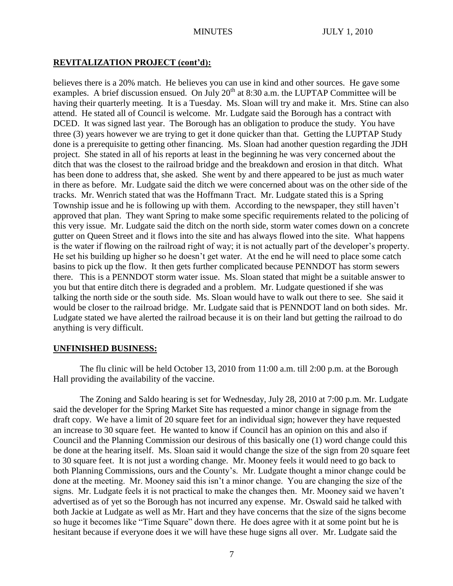## **REVITALIZATION PROJECT (cont'd):**

believes there is a 20% match. He believes you can use in kind and other sources. He gave some examples. A brief discussion ensued. On July  $20^{th}$  at 8:30 a.m. the LUPTAP Committee will be having their quarterly meeting. It is a Tuesday. Ms. Sloan will try and make it. Mrs. Stine can also attend. He stated all of Council is welcome. Mr. Ludgate said the Borough has a contract with DCED. It was signed last year. The Borough has an obligation to produce the study. You have three (3) years however we are trying to get it done quicker than that. Getting the LUPTAP Study done is a prerequisite to getting other financing. Ms. Sloan had another question regarding the JDH project. She stated in all of his reports at least in the beginning he was very concerned about the ditch that was the closest to the railroad bridge and the breakdown and erosion in that ditch. What has been done to address that, she asked. She went by and there appeared to be just as much water in there as before. Mr. Ludgate said the ditch we were concerned about was on the other side of the tracks. Mr. Wenrich stated that was the Hoffmann Tract. Mr. Ludgate stated this is a Spring Township issue and he is following up with them. According to the newspaper, they still haven't approved that plan. They want Spring to make some specific requirements related to the policing of this very issue. Mr. Ludgate said the ditch on the north side, storm water comes down on a concrete gutter on Queen Street and it flows into the site and has always flowed into the site. What happens is the water if flowing on the railroad right of way; it is not actually part of the developer's property. He set his building up higher so he doesn't get water. At the end he will need to place some catch basins to pick up the flow. It then gets further complicated because PENNDOT has storm sewers there. This is a PENNDOT storm water issue. Ms. Sloan stated that might be a suitable answer to you but that entire ditch there is degraded and a problem. Mr. Ludgate questioned if she was talking the north side or the south side. Ms. Sloan would have to walk out there to see. She said it would be closer to the railroad bridge. Mr. Ludgate said that is PENNDOT land on both sides. Mr. Ludgate stated we have alerted the railroad because it is on their land but getting the railroad to do anything is very difficult.

### **UNFINISHED BUSINESS:**

The flu clinic will be held October 13, 2010 from 11:00 a.m. till 2:00 p.m. at the Borough Hall providing the availability of the vaccine.

The Zoning and Saldo hearing is set for Wednesday, July 28, 2010 at 7:00 p.m. Mr. Ludgate said the developer for the Spring Market Site has requested a minor change in signage from the draft copy. We have a limit of 20 square feet for an individual sign; however they have requested an increase to 30 square feet. He wanted to know if Council has an opinion on this and also if Council and the Planning Commission our desirous of this basically one (1) word change could this be done at the hearing itself. Ms. Sloan said it would change the size of the sign from 20 square feet to 30 square feet. It is not just a wording change. Mr. Mooney feels it would need to go back to both Planning Commissions, ours and the County's. Mr. Ludgate thought a minor change could be done at the meeting. Mr. Mooney said this isn't a minor change. You are changing the size of the signs. Mr. Ludgate feels it is not practical to make the changes then. Mr. Mooney said we haven't advertised as of yet so the Borough has not incurred any expense. Mr. Oswald said he talked with both Jackie at Ludgate as well as Mr. Hart and they have concerns that the size of the signs become so huge it becomes like "Time Square" down there. He does agree with it at some point but he is hesitant because if everyone does it we will have these huge signs all over. Mr. Ludgate said the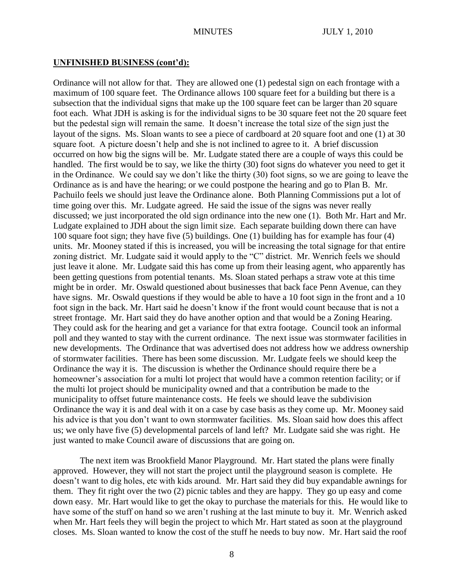#### **UNFINISHED BUSINESS (cont'd):**

Ordinance will not allow for that. They are allowed one (1) pedestal sign on each frontage with a maximum of 100 square feet. The Ordinance allows 100 square feet for a building but there is a subsection that the individual signs that make up the 100 square feet can be larger than 20 square foot each. What JDH is asking is for the individual signs to be 30 square feet not the 20 square feet but the pedestal sign will remain the same. It doesn't increase the total size of the sign just the layout of the signs. Ms. Sloan wants to see a piece of cardboard at 20 square foot and one (1) at 30 square foot. A picture doesn't help and she is not inclined to agree to it. A brief discussion occurred on how big the signs will be. Mr. Ludgate stated there are a couple of ways this could be handled. The first would be to say, we like the thirty (30) foot signs do whatever you need to get it in the Ordinance. We could say we don't like the thirty (30) foot signs, so we are going to leave the Ordinance as is and have the hearing; or we could postpone the hearing and go to Plan B. Mr. Pachuilo feels we should just leave the Ordinance alone. Both Planning Commissions put a lot of time going over this. Mr. Ludgate agreed. He said the issue of the signs was never really discussed; we just incorporated the old sign ordinance into the new one (1). Both Mr. Hart and Mr. Ludgate explained to JDH about the sign limit size. Each separate building down there can have 100 square foot sign; they have five (5) buildings. One (1) building has for example has four (4) units. Mr. Mooney stated if this is increased, you will be increasing the total signage for that entire zoning district. Mr. Ludgate said it would apply to the "C" district. Mr. Wenrich feels we should just leave it alone. Mr. Ludgate said this has come up from their leasing agent, who apparently has been getting questions from potential tenants. Ms. Sloan stated perhaps a straw vote at this time might be in order. Mr. Oswald questioned about businesses that back face Penn Avenue, can they have signs. Mr. Oswald questions if they would be able to have a 10 foot sign in the front and a 10 foot sign in the back. Mr. Hart said he doesn't know if the front would count because that is not a street frontage. Mr. Hart said they do have another option and that would be a Zoning Hearing. They could ask for the hearing and get a variance for that extra footage. Council took an informal poll and they wanted to stay with the current ordinance. The next issue was stormwater facilities in new developments. The Ordinance that was advertised does not address how we address ownership of stormwater facilities. There has been some discussion. Mr. Ludgate feels we should keep the Ordinance the way it is. The discussion is whether the Ordinance should require there be a homeowner's association for a multi lot project that would have a common retention facility; or if the multi lot project should be municipality owned and that a contribution be made to the municipality to offset future maintenance costs. He feels we should leave the subdivision Ordinance the way it is and deal with it on a case by case basis as they come up. Mr. Mooney said his advice is that you don't want to own stormwater facilities. Ms. Sloan said how does this affect us; we only have five (5) developmental parcels of land left? Mr. Ludgate said she was right. He just wanted to make Council aware of discussions that are going on.

The next item was Brookfield Manor Playground. Mr. Hart stated the plans were finally approved. However, they will not start the project until the playground season is complete. He doesn't want to dig holes, etc with kids around. Mr. Hart said they did buy expandable awnings for them. They fit right over the two (2) picnic tables and they are happy. They go up easy and come down easy. Mr. Hart would like to get the okay to purchase the materials for this. He would like to have some of the stuff on hand so we aren't rushing at the last minute to buy it. Mr. Wenrich asked when Mr. Hart feels they will begin the project to which Mr. Hart stated as soon at the playground closes. Ms. Sloan wanted to know the cost of the stuff he needs to buy now. Mr. Hart said the roof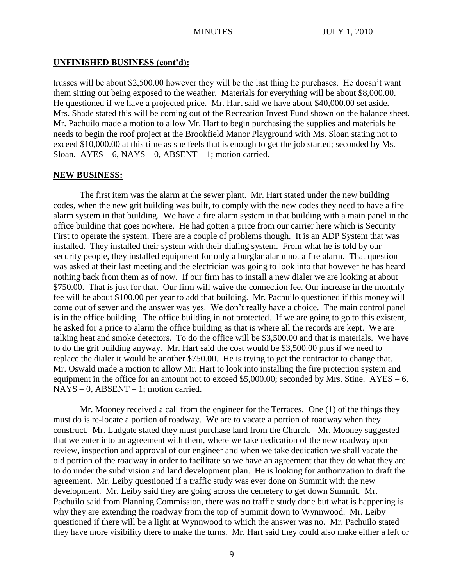### **UNFINISHED BUSINESS (cont'd):**

trusses will be about \$2,500.00 however they will be the last thing he purchases. He doesn't want them sitting out being exposed to the weather. Materials for everything will be about \$8,000.00. He questioned if we have a projected price. Mr. Hart said we have about \$40,000.00 set aside. Mrs. Shade stated this will be coming out of the Recreation Invest Fund shown on the balance sheet. Mr. Pachuilo made a motion to allow Mr. Hart to begin purchasing the supplies and materials he needs to begin the roof project at the Brookfield Manor Playground with Ms. Sloan stating not to exceed \$10,000.00 at this time as she feels that is enough to get the job started; seconded by Ms. Sloan.  $AYES - 6$ ,  $NAYS - 0$ ,  $ABSENT - 1$ ; motion carried.

## **NEW BUSINESS:**

The first item was the alarm at the sewer plant. Mr. Hart stated under the new building codes, when the new grit building was built, to comply with the new codes they need to have a fire alarm system in that building. We have a fire alarm system in that building with a main panel in the office building that goes nowhere. He had gotten a price from our carrier here which is Security First to operate the system. There are a couple of problems though. It is an ADP System that was installed. They installed their system with their dialing system. From what he is told by our security people, they installed equipment for only a burglar alarm not a fire alarm. That question was asked at their last meeting and the electrician was going to look into that however he has heard nothing back from them as of now. If our firm has to install a new dialer we are looking at about \$750.00. That is just for that. Our firm will waive the connection fee. Our increase in the monthly fee will be about \$100.00 per year to add that building. Mr. Pachuilo questioned if this money will come out of sewer and the answer was yes. We don't really have a choice. The main control panel is in the office building. The office building in not protected. If we are going to go to this existent, he asked for a price to alarm the office building as that is where all the records are kept. We are talking heat and smoke detectors. To do the office will be \$3,500.00 and that is materials. We have to do the grit building anyway. Mr. Hart said the cost would be \$3,500.00 plus if we need to replace the dialer it would be another \$750.00. He is trying to get the contractor to change that. Mr. Oswald made a motion to allow Mr. Hart to look into installing the fire protection system and equipment in the office for an amount not to exceed \$5,000.00; seconded by Mrs. Stine.  $AYES - 6$ , NAYS – 0, ABSENT – 1; motion carried.

Mr. Mooney received a call from the engineer for the Terraces. One (1) of the things they must do is re-locate a portion of roadway. We are to vacate a portion of roadway when they construct. Mr. Ludgate stated they must purchase land from the Church. Mr. Mooney suggested that we enter into an agreement with them, where we take dedication of the new roadway upon review, inspection and approval of our engineer and when we take dedication we shall vacate the old portion of the roadway in order to facilitate so we have an agreement that they do what they are to do under the subdivision and land development plan. He is looking for authorization to draft the agreement. Mr. Leiby questioned if a traffic study was ever done on Summit with the new development. Mr. Leiby said they are going across the cemetery to get down Summit. Mr. Pachuilo said from Planning Commission, there was no traffic study done but what is happening is why they are extending the roadway from the top of Summit down to Wynnwood. Mr. Leiby questioned if there will be a light at Wynnwood to which the answer was no. Mr. Pachuilo stated they have more visibility there to make the turns. Mr. Hart said they could also make either a left or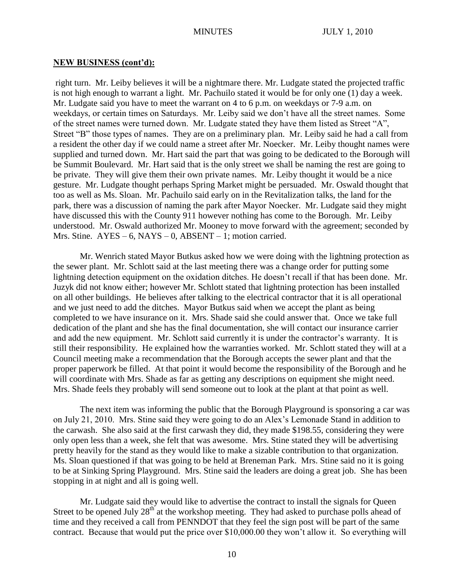#### **NEW BUSINESS (cont'd):**

right turn. Mr. Leiby believes it will be a nightmare there. Mr. Ludgate stated the projected traffic is not high enough to warrant a light. Mr. Pachuilo stated it would be for only one (1) day a week. Mr. Ludgate said you have to meet the warrant on 4 to 6 p.m. on weekdays or 7-9 a.m. on weekdays, or certain times on Saturdays. Mr. Leiby said we don't have all the street names. Some of the street names were turned down. Mr. Ludgate stated they have them listed as Street "A", Street "B" those types of names. They are on a preliminary plan. Mr. Leiby said he had a call from a resident the other day if we could name a street after Mr. Noecker. Mr. Leiby thought names were supplied and turned down. Mr. Hart said the part that was going to be dedicated to the Borough will be Summit Boulevard. Mr. Hart said that is the only street we shall be naming the rest are going to be private. They will give them their own private names. Mr. Leiby thought it would be a nice gesture. Mr. Ludgate thought perhaps Spring Market might be persuaded. Mr. Oswald thought that too as well as Ms. Sloan. Mr. Pachuilo said early on in the Revitalization talks, the land for the park, there was a discussion of naming the park after Mayor Noecker. Mr. Ludgate said they might have discussed this with the County 911 however nothing has come to the Borough. Mr. Leiby understood. Mr. Oswald authorized Mr. Mooney to move forward with the agreement; seconded by Mrs. Stine.  $AYES - 6$ ,  $NAYS - 0$ ,  $ABSENT - 1$ ; motion carried.

Mr. Wenrich stated Mayor Butkus asked how we were doing with the lightning protection as the sewer plant. Mr. Schlott said at the last meeting there was a change order for putting some lightning detection equipment on the oxidation ditches. He doesn't recall if that has been done. Mr. Juzyk did not know either; however Mr. Schlott stated that lightning protection has been installed on all other buildings. He believes after talking to the electrical contractor that it is all operational and we just need to add the ditches. Mayor Butkus said when we accept the plant as being completed to we have insurance on it. Mrs. Shade said she could answer that. Once we take full dedication of the plant and she has the final documentation, she will contact our insurance carrier and add the new equipment. Mr. Schlott said currently it is under the contractor's warranty. It is still their responsibility. He explained how the warranties worked. Mr. Schlott stated they will at a Council meeting make a recommendation that the Borough accepts the sewer plant and that the proper paperwork be filled. At that point it would become the responsibility of the Borough and he will coordinate with Mrs. Shade as far as getting any descriptions on equipment she might need. Mrs. Shade feels they probably will send someone out to look at the plant at that point as well.

The next item was informing the public that the Borough Playground is sponsoring a car was on July 21, 2010. Mrs. Stine said they were going to do an Alex's Lemonade Stand in addition to the carwash. She also said at the first carwash they did, they made \$198.55, considering they were only open less than a week, she felt that was awesome. Mrs. Stine stated they will be advertising pretty heavily for the stand as they would like to make a sizable contribution to that organization. Ms. Sloan questioned if that was going to be held at Breneman Park. Mrs. Stine said no it is going to be at Sinking Spring Playground. Mrs. Stine said the leaders are doing a great job. She has been stopping in at night and all is going well.

Mr. Ludgate said they would like to advertise the contract to install the signals for Queen Street to be opened July  $28<sup>th</sup>$  at the workshop meeting. They had asked to purchase polls ahead of time and they received a call from PENNDOT that they feel the sign post will be part of the same contract. Because that would put the price over \$10,000.00 they won't allow it. So everything will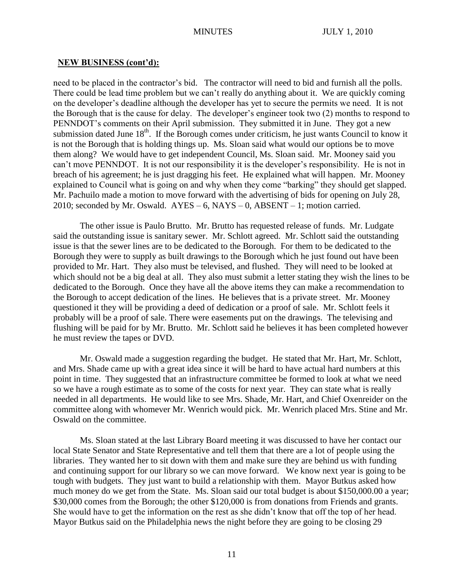#### **NEW BUSINESS (cont'd):**

need to be placed in the contractor's bid. The contractor will need to bid and furnish all the polls. There could be lead time problem but we can't really do anything about it. We are quickly coming on the developer's deadline although the developer has yet to secure the permits we need. It is not the Borough that is the cause for delay. The developer's engineer took two (2) months to respond to PENNDOT's comments on their April submission. They submitted it in June. They got a new submission dated June  $18<sup>th</sup>$ . If the Borough comes under criticism, he just wants Council to know it is not the Borough that is holding things up. Ms. Sloan said what would our options be to move them along? We would have to get independent Council, Ms. Sloan said. Mr. Mooney said you can't move PENNDOT. It is not our responsibility it is the developer's responsibility. He is not in breach of his agreement; he is just dragging his feet. He explained what will happen. Mr. Mooney explained to Council what is going on and why when they come "barking" they should get slapped. Mr. Pachuilo made a motion to move forward with the advertising of bids for opening on July 28, 2010; seconded by Mr. Oswald.  $AYES - 6$ ,  $NAYS - 0$ ,  $ABSENT - 1$ ; motion carried.

The other issue is Paulo Brutto. Mr. Brutto has requested release of funds. Mr. Ludgate said the outstanding issue is sanitary sewer. Mr. Schlott agreed. Mr. Schlott said the outstanding issue is that the sewer lines are to be dedicated to the Borough. For them to be dedicated to the Borough they were to supply as built drawings to the Borough which he just found out have been provided to Mr. Hart. They also must be televised, and flushed. They will need to be looked at which should not be a big deal at all. They also must submit a letter stating they wish the lines to be dedicated to the Borough. Once they have all the above items they can make a recommendation to the Borough to accept dedication of the lines. He believes that is a private street. Mr. Mooney questioned it they will be providing a deed of dedication or a proof of sale. Mr. Schlott feels it probably will be a proof of sale. There were easements put on the drawings. The televising and flushing will be paid for by Mr. Brutto. Mr. Schlott said he believes it has been completed however he must review the tapes or DVD.

Mr. Oswald made a suggestion regarding the budget. He stated that Mr. Hart, Mr. Schlott, and Mrs. Shade came up with a great idea since it will be hard to have actual hard numbers at this point in time. They suggested that an infrastructure committee be formed to look at what we need so we have a rough estimate as to some of the costs for next year. They can state what is really needed in all departments. He would like to see Mrs. Shade, Mr. Hart, and Chief Oxenreider on the committee along with whomever Mr. Wenrich would pick. Mr. Wenrich placed Mrs. Stine and Mr. Oswald on the committee.

Ms. Sloan stated at the last Library Board meeting it was discussed to have her contact our local State Senator and State Representative and tell them that there are a lot of people using the libraries. They wanted her to sit down with them and make sure they are behind us with funding and continuing support for our library so we can move forward. We know next year is going to be tough with budgets. They just want to build a relationship with them. Mayor Butkus asked how much money do we get from the State. Ms. Sloan said our total budget is about \$150,000.00 a year; \$30,000 comes from the Borough; the other \$120,000 is from donations from Friends and grants. She would have to get the information on the rest as she didn't know that off the top of her head. Mayor Butkus said on the Philadelphia news the night before they are going to be closing 29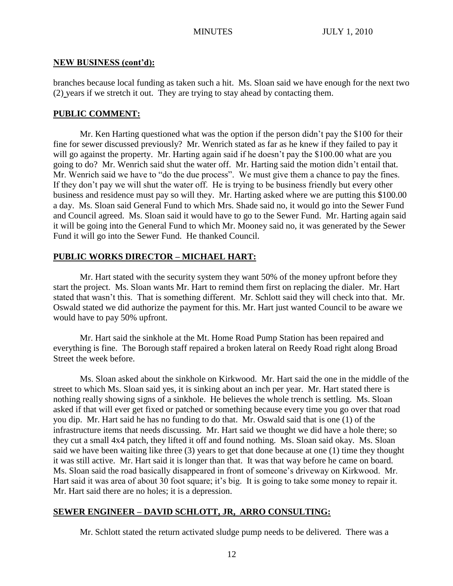### **NEW BUSINESS (cont'd):**

branches because local funding as taken such a hit. Ms. Sloan said we have enough for the next two (2) years if we stretch it out. They are trying to stay ahead by contacting them.

### **PUBLIC COMMENT:**

Mr. Ken Harting questioned what was the option if the person didn't pay the \$100 for their fine for sewer discussed previously? Mr. Wenrich stated as far as he knew if they failed to pay it will go against the property. Mr. Harting again said if he doesn't pay the \$100.00 what are you going to do? Mr. Wenrich said shut the water off. Mr. Harting said the motion didn't entail that. Mr. Wenrich said we have to "do the due process". We must give them a chance to pay the fines. If they don't pay we will shut the water off. He is trying to be business friendly but every other business and residence must pay so will they. Mr. Harting asked where we are putting this \$100.00 a day. Ms. Sloan said General Fund to which Mrs. Shade said no, it would go into the Sewer Fund and Council agreed. Ms. Sloan said it would have to go to the Sewer Fund. Mr. Harting again said it will be going into the General Fund to which Mr. Mooney said no, it was generated by the Sewer Fund it will go into the Sewer Fund. He thanked Council.

## **PUBLIC WORKS DIRECTOR – MICHAEL HART:**

Mr. Hart stated with the security system they want 50% of the money upfront before they start the project. Ms. Sloan wants Mr. Hart to remind them first on replacing the dialer. Mr. Hart stated that wasn't this. That is something different. Mr. Schlott said they will check into that. Mr. Oswald stated we did authorize the payment for this. Mr. Hart just wanted Council to be aware we would have to pay 50% upfront.

Mr. Hart said the sinkhole at the Mt. Home Road Pump Station has been repaired and everything is fine. The Borough staff repaired a broken lateral on Reedy Road right along Broad Street the week before.

Ms. Sloan asked about the sinkhole on Kirkwood. Mr. Hart said the one in the middle of the street to which Ms. Sloan said yes, it is sinking about an inch per year. Mr. Hart stated there is nothing really showing signs of a sinkhole. He believes the whole trench is settling. Ms. Sloan asked if that will ever get fixed or patched or something because every time you go over that road you dip. Mr. Hart said he has no funding to do that. Mr. Oswald said that is one (1) of the infrastructure items that needs discussing. Mr. Hart said we thought we did have a hole there; so they cut a small 4x4 patch, they lifted it off and found nothing. Ms. Sloan said okay. Ms. Sloan said we have been waiting like three (3) years to get that done because at one (1) time they thought it was still active. Mr. Hart said it is longer than that. It was that way before he came on board. Ms. Sloan said the road basically disappeared in front of someone's driveway on Kirkwood. Mr. Hart said it was area of about 30 foot square; it's big. It is going to take some money to repair it. Mr. Hart said there are no holes; it is a depression.

# **SEWER ENGINEER – DAVID SCHLOTT, JR, ARRO CONSULTING:**

Mr. Schlott stated the return activated sludge pump needs to be delivered. There was a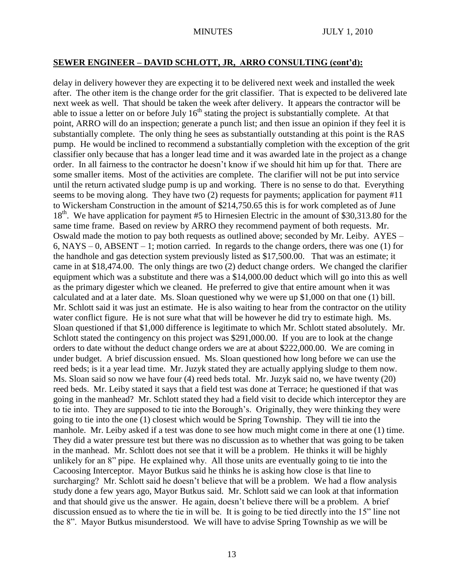# **SEWER ENGINEER – DAVID SCHLOTT, JR, ARRO CONSULTING (cont'd):**

delay in delivery however they are expecting it to be delivered next week and installed the week after. The other item is the change order for the grit classifier. That is expected to be delivered late next week as well. That should be taken the week after delivery. It appears the contractor will be able to issue a letter on or before July  $16<sup>th</sup>$  stating the project is substantially complete. At that point, ARRO will do an inspection; generate a punch list; and then issue an opinion if they feel it is substantially complete. The only thing he sees as substantially outstanding at this point is the RAS pump. He would be inclined to recommend a substantially completion with the exception of the grit classifier only because that has a longer lead time and it was awarded late in the project as a change order. In all fairness to the contractor he doesn't know if we should hit him up for that. There are some smaller items. Most of the activities are complete. The clarifier will not be put into service until the return activated sludge pump is up and working. There is no sense to do that. Everything seems to be moving along. They have two (2) requests for payments; application for payment #11 to Wickersham Construction in the amount of \$214,750.65 this is for work completed as of June 18<sup>th</sup>. We have application for payment #5 to Hirnesien Electric in the amount of \$30,313.80 for the same time frame. Based on review by ARRO they recommend payment of both requests. Mr. Oswald made the motion to pay both requests as outlined above; seconded by Mr. Leiby. AYES – 6, NAYS – 0, ABSENT – 1; motion carried. In regards to the change orders, there was one (1) for the handhole and gas detection system previously listed as \$17,500.00. That was an estimate; it came in at \$18,474.00. The only things are two (2) deduct change orders. We changed the clarifier equipment which was a substitute and there was a \$14,000.00 deduct which will go into this as well as the primary digester which we cleaned. He preferred to give that entire amount when it was calculated and at a later date. Ms. Sloan questioned why we were up \$1,000 on that one (1) bill. Mr. Schlott said it was just an estimate. He is also waiting to hear from the contractor on the utility water conflict figure. He is not sure what that will be however he did try to estimate high. Ms. Sloan questioned if that \$1,000 difference is legitimate to which Mr. Schlott stated absolutely. Mr. Schlott stated the contingency on this project was \$291,000.00. If you are to look at the change orders to date without the deduct change orders we are at about \$222,000.00. We are coming in under budget. A brief discussion ensued. Ms. Sloan questioned how long before we can use the reed beds; is it a year lead time. Mr. Juzyk stated they are actually applying sludge to them now. Ms. Sloan said so now we have four (4) reed beds total. Mr. Juzyk said no, we have twenty (20) reed beds. Mr. Leiby stated it says that a field test was done at Terrace; he questioned if that was going in the manhead? Mr. Schlott stated they had a field visit to decide which interceptor they are to tie into. They are supposed to tie into the Borough's. Originally, they were thinking they were going to tie into the one (1) closest which would be Spring Township. They will tie into the manhole. Mr. Leiby asked if a test was done to see how much might come in there at one (1) time. They did a water pressure test but there was no discussion as to whether that was going to be taken in the manhead. Mr. Schlott does not see that it will be a problem. He thinks it will be highly unlikely for an 8" pipe. He explained why. All those units are eventually going to tie into the Cacoosing Interceptor. Mayor Butkus said he thinks he is asking how close is that line to surcharging? Mr. Schlott said he doesn't believe that will be a problem. We had a flow analysis study done a few years ago, Mayor Butkus said. Mr. Schlott said we can look at that information and that should give us the answer. He again, doesn't believe there will be a problem. A brief discussion ensued as to where the tie in will be. It is going to be tied directly into the 15" line not the 8". Mayor Butkus misunderstood. We will have to advise Spring Township as we will be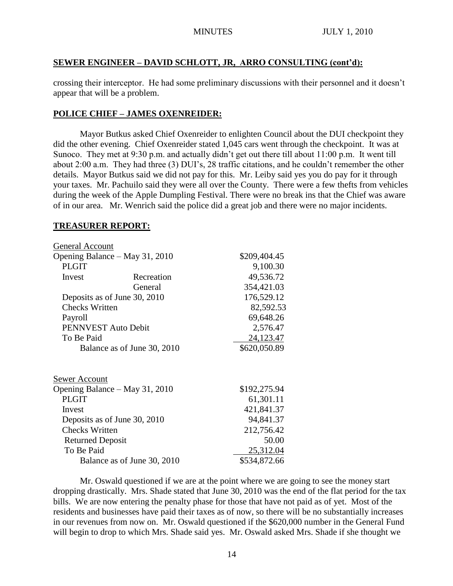# **SEWER ENGINEER – DAVID SCHLOTT, JR, ARRO CONSULTING (cont'd):**

crossing their interceptor. He had some preliminary discussions with their personnel and it doesn't appear that will be a problem.

# **POLICE CHIEF – JAMES OXENREIDER:**

Mayor Butkus asked Chief Oxenreider to enlighten Council about the DUI checkpoint they did the other evening. Chief Oxenreider stated 1,045 cars went through the checkpoint. It was at Sunoco. They met at 9:30 p.m. and actually didn't get out there till about 11:00 p.m. It went till about 2:00 a.m. They had three (3) DUI's, 28 traffic citations, and he couldn't remember the other details. Mayor Butkus said we did not pay for this. Mr. Leiby said yes you do pay for it through your taxes. Mr. Pachuilo said they were all over the County. There were a few thefts from vehicles during the week of the Apple Dumpling Festival. There were no break ins that the Chief was aware of in our area. Mr. Wenrich said the police did a great job and there were no major incidents.

## **TREASURER REPORT:**

| General Account                |              |              |
|--------------------------------|--------------|--------------|
| Opening Balance - May 31, 2010 | \$209,404.45 |              |
| <b>PLGIT</b>                   |              | 9,100.30     |
| Invest                         | Recreation   | 49,536.72    |
|                                | General      | 354,421.03   |
| Deposits as of June 30, 2010   | 176,529.12   |              |
| <b>Checks Written</b>          | 82,592.53    |              |
| Payroll                        |              | 69,648.26    |
| PENNVEST Auto Debit            |              | 2,576.47     |
| To Be Paid                     |              | 24,123.47    |
| Balance as of June 30, 2010    |              | \$620,050.89 |
|                                |              |              |
| Sewer Account                  |              |              |
| Opening Balance – May 31, 2010 |              | \$192,275.94 |
| <b>PLGIT</b>                   |              | 61,301.11    |
| Invest                         |              | 421,841.37   |
| Deposits as of June 30, 2010   |              | 94,841.37    |
| <b>Checks Written</b>          |              | 212,756.42   |
| <b>Returned Deposit</b>        |              | 50.00        |
| To Be Paid                     |              | 25,312.04    |
| Balance as of June 30, 2010    |              | \$534,872.66 |

Mr. Oswald questioned if we are at the point where we are going to see the money start dropping drastically. Mrs. Shade stated that June 30, 2010 was the end of the flat period for the tax bills. We are now entering the penalty phase for those that have not paid as of yet. Most of the residents and businesses have paid their taxes as of now, so there will be no substantially increases in our revenues from now on. Mr. Oswald questioned if the \$620,000 number in the General Fund will begin to drop to which Mrs. Shade said yes. Mr. Oswald asked Mrs. Shade if she thought we